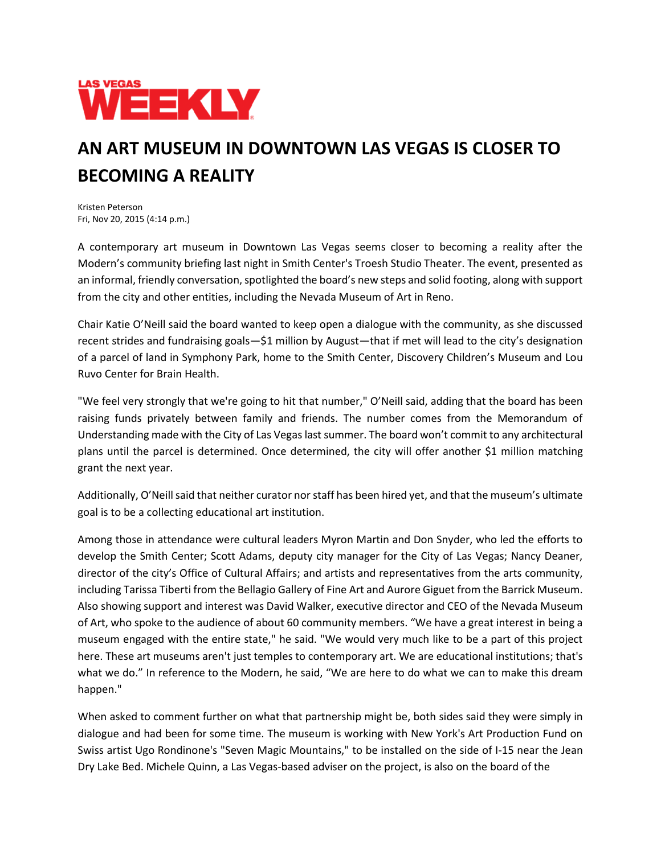

## **AN ART MUSEUM IN DOWNTOWN LAS VEGAS IS CLOSER TO BECOMING A REALITY**

Kristen Peterson Fri, Nov 20, 2015 (4:14 p.m.)

A contemporary art museum in Downtown Las Vegas seems closer to becoming a reality after the Modern's community briefing last night in Smith Center's Troesh Studio Theater. The event, presented as an informal, friendly conversation, spotlighted the board's new steps and solid footing, along with support from the city and other entities, including the Nevada Museum of Art in Reno.

Chair Katie O'Neill said the board wanted to keep open a dialogue with the community, as she discussed recent strides and fundraising goals—\$1 million by August—that if met will lead to the city's designation of a parcel of land in Symphony Park, home to the Smith Center, Discovery Children's Museum and Lou Ruvo Center for Brain Health.

"We feel very strongly that we're going to hit that number," O'Neill said, adding that the board has been raising funds privately between family and friends. The number comes from the Memorandum of Understanding made with the City of Las Vegas last summer. The board won't commit to any architectural plans until the parcel is determined. Once determined, the city will offer another \$1 million matching grant the next year.

Additionally, O'Neill said that neither curator nor staff has been hired yet, and that the museum's ultimate goal is to be a collecting educational art institution.

Among those in attendance were cultural leaders Myron Martin and Don Snyder, who led the efforts to develop the Smith Center; Scott Adams, deputy city manager for the City of Las Vegas; Nancy Deaner, director of the city's Office of Cultural Affairs; and artists and representatives from the arts community, including Tarissa Tiberti from the Bellagio Gallery of Fine Art and Aurore Giguet from the Barrick Museum. Also showing support and interest was David Walker, executive director and CEO of the Nevada Museum of Art, who spoke to the audience of about 60 community members. "We have a great interest in being a museum engaged with the entire state," he said. "We would very much like to be a part of this project here. These art museums aren't just temples to contemporary art. We are educational institutions; that's what we do." In reference to the Modern, he said, "We are here to do what we can to make this dream happen."

When asked to comment further on what that partnership might be, both sides said they were simply in dialogue and had been for some time. The museum is working with New York's Art Production Fund on Swiss artist Ugo Rondinone's "Seven Magic Mountains," to be installed on the side of I-15 near the Jean Dry Lake Bed. Michele Quinn, a Las Vegas-based adviser on the project, is also on the board of the